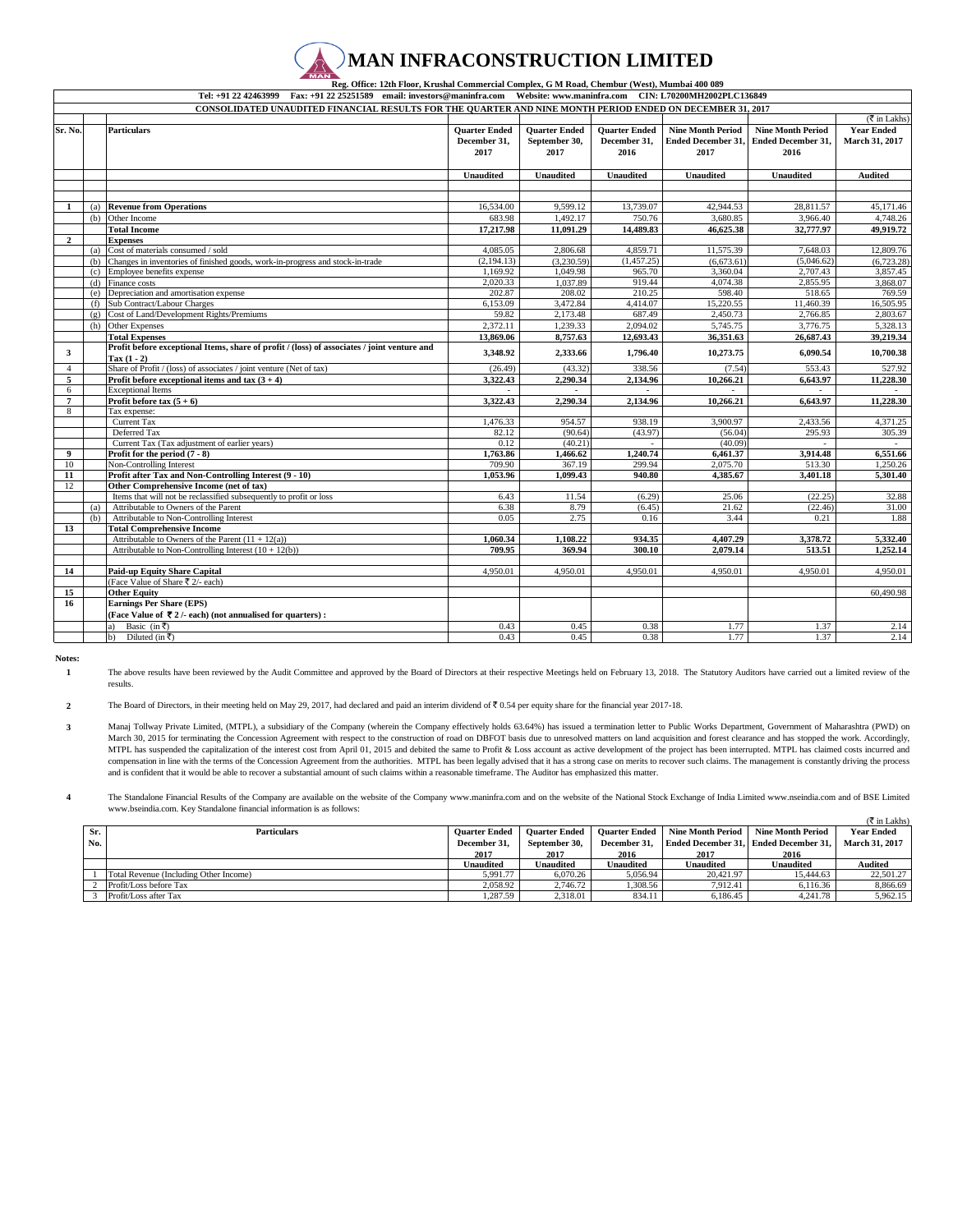## **MAN INFRACONSTRUCTION LIMITED**

 **Reg. Office: 12th Floor, Krushal Commercial Complex, G M Road, Chembur (West), Mumbai 400 089** 

**Tel: +91 22 42463999 Fax: +91 22 25251589 email: investors@maninfra.com Website: www.maninfra.com CIN: L70200MH2002PLC136849**

|                |     | CONSOLIDATED UNAUDITED FINANCIAL RESULTS FOR THE QUARTER AND NINE MONTH PERIOD ENDED ON DECEMBER 31, 2017 |                      |                      |                      |                           |                           |                              |
|----------------|-----|-----------------------------------------------------------------------------------------------------------|----------------------|----------------------|----------------------|---------------------------|---------------------------|------------------------------|
|                |     |                                                                                                           |                      |                      |                      |                           |                           | $(\overline{\tau}$ in Lakhs) |
| Sr. No.        |     | <b>Particulars</b>                                                                                        | <b>Quarter Ended</b> | <b>Quarter Ended</b> | <b>Quarter Ended</b> | <b>Nine Month Period</b>  | <b>Nine Month Period</b>  | <b>Year Ended</b>            |
|                |     |                                                                                                           | December 31,         | September 30,        | December 31,         | <b>Ended December 31.</b> | <b>Ended December 31.</b> | March 31, 2017               |
|                |     |                                                                                                           | 2017                 | 2017                 | 2016                 | 2017                      | 2016                      |                              |
|                |     |                                                                                                           |                      |                      |                      |                           |                           |                              |
|                |     |                                                                                                           | <b>Unaudited</b>     | <b>Unaudited</b>     | <b>Unaudited</b>     | <b>Unaudited</b>          | <b>Unaudited</b>          | <b>Audited</b>               |
|                |     |                                                                                                           |                      |                      |                      |                           |                           |                              |
|                |     |                                                                                                           |                      |                      |                      |                           |                           |                              |
| -1             | (a) | <b>Revenue from Operations</b>                                                                            | 16,534.00            | 9.599.12             | 13,739.07            | 42,944.53                 | 28,811.57                 | 45,171.46                    |
|                | (b) | Other Income                                                                                              | 683.98               | 1,492.17             | 750.76               | 3,680.85                  | 3,966.40                  | 4,748.26                     |
|                |     | <b>Total Income</b>                                                                                       | 17,217.98            | 11,091.29            | 14,489.83            | 46,625.38                 | 32,777.97                 | 49,919.72                    |
| $\overline{2}$ |     | <b>Expenses</b>                                                                                           |                      |                      |                      |                           |                           |                              |
|                | (a) | Cost of materials consumed / sold                                                                         | 4.085.05             | 2,806.68             | 4,859.71             | 11,575.39                 | 7,648.03                  | 12,809.76                    |
|                | (h) | Changes in inventories of finished goods, work-in-progress and stock-in-trade                             | (2.194.13)           | (3.230.59)           | (1.457.25)           | (6,673,61)                | (5.046.62)                | (6.723.28)                   |
|                | (c) | Employee benefits expense                                                                                 | 1,169.92             | 1,049.98             | 965.70               | 3,360.04                  | 2,707.43                  | 3,857.45                     |
|                | (d) | Finance costs                                                                                             | 2.020.33             | 1.037.89             | 919.44               | 4.074.38                  | 2,855.95                  | 3.868.07                     |
|                | (e) | Depreciation and amortisation expense                                                                     | 202.87               | 208.02               | 210.25               | 598.40                    | 518.65                    | 769.59                       |
|                | (f) | Sub Contract/Labour Charges                                                                               | 6.153.09             | 3,472.84             | 4,414.07             | 15,220.55                 | 11.460.39                 | 16,505.95                    |
|                | (g) | Cost of Land/Development Rights/Premiums                                                                  | 59.82                | 2,173.48             | 687.49               | 2,450.73                  | 2,766.85                  | 2,803.67                     |
|                | (h) | Other Expenses                                                                                            | 2,372.11             | 1,239.33             | 2,094.02             | 5,745.75                  | 3,776.75                  | 5,328.13                     |
|                |     | <b>Total Expenses</b>                                                                                     | 13,869.06            | 8,757.63             | 12,693.43            | 36,351.63                 | 26,687.43                 | 39,219.34                    |
|                |     | Profit before exceptional Items, share of profit / (loss) of associates / joint venture and               |                      |                      |                      |                           |                           |                              |
| 3              |     | $\text{Tax} (1 - 2)$                                                                                      | 3,348.92             | 2,333.66             | 1,796.40             | 10.273.75                 | 6.090.54                  | 10,700.38                    |
| $\overline{4}$ |     | Share of Profit / (loss) of associates / joint venture (Net of tax)                                       | (26.49)              | (43.32)              | 338.56               | (7.54)                    | 553.43                    | 527.92                       |
| 5              |     | Profit before exceptional items and tax $(3 + 4)$                                                         | 3,322.43             | 2,290.34             | 2,134.96             | 10,266.21                 | 6,643.97                  | 11,228.30                    |
| 6              |     | <b>Exceptional Items</b>                                                                                  |                      |                      |                      |                           |                           |                              |
| $\overline{7}$ |     | Profit before tax $(5 + 6)$                                                                               | 3.322.43             | 2,290.34             | 2.134.96             | 10.266.21                 | 6.643.97                  | 11,228.30                    |
| 8              |     | Tax expense:                                                                                              |                      |                      |                      |                           |                           |                              |
|                |     | Current Tax                                                                                               | 1,476.33             | 954.57               | 938.19               | 3,900.97                  | 2,433.56                  | 4,371.25                     |
|                |     | Deferred Tax                                                                                              | 82.12                | (90.64)              | (43.97)              | (56.04)                   | 295.93                    | 305.39                       |
|                |     | Current Tax (Tax adjustment of earlier years)                                                             | 0.12                 | (40.21)              |                      | (40.09)                   |                           |                              |
| 9              |     | Profit for the period $(7 - 8)$                                                                           | 1,763.86             | 1,466.62             | 1,240.74             | 6.461.37                  | 3,914.48                  | 6,551.66                     |
| 10             |     | Non-Controlling Interest                                                                                  | 709.90               | 367.19               | 299.94               | 2,075.70                  | 513.30                    | 1.250.26                     |
| 11             |     | Profit after Tax and Non-Controlling Interest (9 - 10)                                                    | 1.053.96             | 1.099.43             | 940.80               | 4,385.67                  | 3,401.18                  | 5,301.40                     |
| 12             |     | Other Comprehensive Income (net of tax)                                                                   |                      |                      |                      |                           |                           |                              |
|                |     | Items that will not be reclassified subsequently to profit or loss                                        | 6.43                 | 11.54                | (6.29)               | 25.06                     | (22.25)                   | 32.88                        |
|                | (a) | Attributable to Owners of the Parent                                                                      | 6.38                 | 8.79                 | (6.45)               | 21.62                     | (22.46)                   | 31.00                        |
|                | (b) | Attributable to Non-Controlling Interest                                                                  | 0.05                 | 2.75                 | 0.16                 | 3.44                      | 0.21                      | 1.88                         |
| 13             |     | <b>Total Comprehensive Income</b>                                                                         |                      |                      |                      |                           |                           |                              |
|                |     | Attributable to Owners of the Parent $(11 + 12(a))$                                                       | 1,060.34             | 1,108.22             | 934.35               | 4,407.29                  | 3,378.72                  | 5,332.40                     |
|                |     | Attributable to Non-Controlling Interest $(10 + 12(b))$                                                   | 709.95               | 369.94               | 300.10               | 2.079.14                  | 513.51                    | 1,252.14                     |
|                |     |                                                                                                           |                      |                      |                      |                           |                           |                              |
| 14             |     | <b>Paid-up Equity Share Capital</b>                                                                       | 4.950.01             | 4.950.01             | 4,950.01             | 4.950.01                  | 4.950.01                  | 4,950.01                     |
|                |     | (Face Value of Share ₹ 2/- each)                                                                          |                      |                      |                      |                           |                           |                              |
| 15             |     | <b>Other Equity</b>                                                                                       |                      |                      |                      |                           |                           | 60,490.98                    |
| 16             |     | <b>Earnings Per Share (EPS)</b>                                                                           |                      |                      |                      |                           |                           |                              |
|                |     | (Face Value of ₹2/- each) (not annualised for quarters) :                                                 |                      |                      |                      |                           |                           |                              |
|                |     | Basic (in ₹)<br>a)                                                                                        | 0.43                 | 0.45                 | 0.38                 | 1.77                      | 1.37                      | 2.14                         |
|                |     | Diluted (in $\overline{\zeta}$ )<br>b)                                                                    | 0.43                 | 0.45                 | 0.38                 | 1.77                      | 1.37                      | 2.14                         |
|                |     |                                                                                                           |                      |                      |                      |                           |                           |                              |

**Notes:**

**1** The above results have been reviewed by the Audit Committee and approved by the Board of Directors at their respective Meetings held on February 13, 2018. The Statutory Auditors have carried out a limited review of the results.

**2** The Board of Directors, in their meeting held on May 29, 2017, had declared and paid an interim dividend of ₹ 0.54 per equity share for the financial year 2017-18.

**3** Manaj Tollway Private Limited, (MTPL), a subsidiary of the Company (wherein the Company effectively holds 63.64%) has issued a termination letter to Public Works Department, Government of Maharashtra (PWD) on March 30, 2015 for terminating the Concession Agreement with respect to the construction of road on DBFOT basis due to unresolved matters on land acquisition and forest clearance and has stopped the work. Accordingly, MTPL has suspended the capitalization of the interest cost from April 01, 2015 and debited the same to Profit & Loss account as active development of the project has been interrupted. MTPL has claimed costs incurred and compensation in line with the terms of the Concession Agreement from the authorities. MTPL has been legally advised that it has a strong case on merits to recover such claims. The management is constantly driving the proce and is confident that it would be able to recover a substantial amount of such claims within a reasonable timeframe. The Auditor has emphasized this matter.

**4** The Standalone Financial Results of the Company are available on the website of the Company www.maninfra.com and on the website of the National Stock Exchange of India Limited www.nseindia.com and of BSE Limited www.bseindia.com. Key Standalone financial information is as follows:

|                       |                                        |                      |                      |                      |                          |                                       | $(\overline{\xi}$ in Lakhs) |
|-----------------------|----------------------------------------|----------------------|----------------------|----------------------|--------------------------|---------------------------------------|-----------------------------|
| Sr.                   | <b>Particulars</b>                     | <b>Ouarter Ended</b> | <b>Ouarter Ended</b> | <b>Ouarter Ended</b> | <b>Nine Month Period</b> | <b>Nine Month Period</b>              | <b>Year Ended</b>           |
| No.                   |                                        | December 31.         | September 30.        | December 31.         |                          | Ended December 31. Ended December 31. | <b>March 31, 2017</b>       |
|                       |                                        | 2017                 | 2017                 | 2016                 | 2017                     | 2016                                  |                             |
|                       |                                        | Unaudited            | Unaudited            | Unaudited            | Unaudited                | Unaudited                             | Audited                     |
|                       | Total Revenue (Including Other Income) | 5.991.77             | 6.070.26             | 5.056.94             | 20.421.97                | 15.444.63                             | 22.501.27                   |
|                       | Profit/Loss before Tax                 | 2.058.92             | 2.746.72             | . 308.56             | 7.912.41                 | 6.116.36                              | 8,866.69                    |
| Profit/Loss after Tax |                                        |                      |                      |                      |                          |                                       |                             |